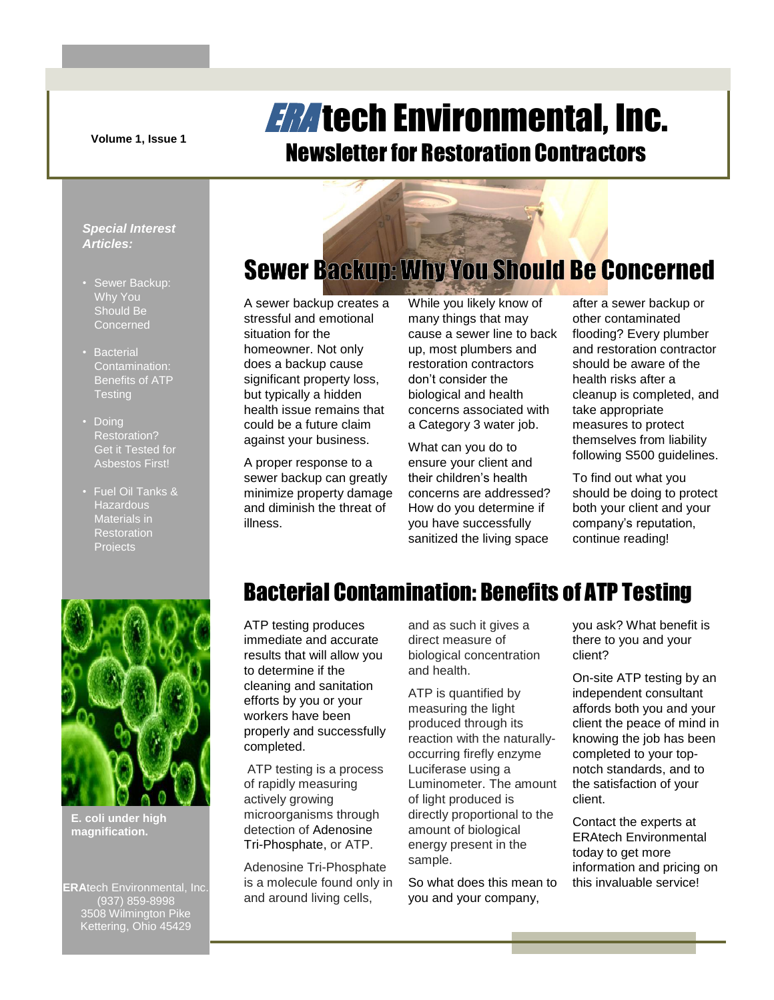**Volume 1, Issue 1**

## **ERA** tech Environmental, Inc. Newsletter for Restoration Contractors

### *Special Interest Articles:*

- Sewer Backup: Why You Should Be **Concerned**
- Bacterial Contamination: Benefits of ATP **Testing**
- Doing Restoration? Get it Tested for Asbestos First!
- Fuel Oil Tanks & **Hazardous** Materials in Restoration Projects

# **Sewer Backup: Why You Should Be Concerned**

A sewer backup creates a stressful and emotional situation for the homeowner. Not only does a backup cause significant property loss, but typically a hidden health issue remains that could be a future claim against your business.

A proper response to a sewer backup can greatly minimize property damage and diminish the threat of illness.

While you likely know of many things that may cause a sewer line to back up, most plumbers and restoration contractors don't consider the biological and health concerns associated with a Category 3 water job.

What can you do to ensure your client and their children's health concerns are addressed? How do you determine if you have successfully sanitized the living space

after a sewer backup or other contaminated flooding? Every plumber and restoration contractor should be aware of the health risks after a cleanup is completed, and take appropriate measures to protect themselves from liability following S500 guidelines.

To find out what you should be doing to protect both your client and your company's reputation, continue reading!



**E. coli under high magnification.**

**ERA**tech Environmental, Inc. (937) 859-8998 3508 Wilmington Pike Kettering, Ohio 45429

## Bacterial Contamination: Benefits of ATP Testing

ATP testing produces immediate and accurate results that will allow you to determine if the cleaning and sanitation efforts by you or your workers have been properly and successfully completed.

ATP testing is a process of rapidly measuring actively growing microorganisms through detection of Adenosine Tri-Phosphate, or ATP.

Adenosine Tri-Phosphate is a molecule found only in and around living cells,

and as such it gives a direct measure of biological concentration and health.

ATP is quantified by measuring the light produced through its reaction with the naturallyoccurring firefly enzyme Luciferase using a Luminometer. The amount of light produced is directly proportional to the amount of biological energy present in the sample.

So what does this mean to you and your company,

you ask? What benefit is there to you and your client?

On-site ATP testing by an independent consultant affords both you and your client the peace of mind in knowing the job has been completed to your topnotch standards, and to the satisfaction of your client.

Contact the experts at ERAtech Environmental today to get more information and pricing on this invaluable service!